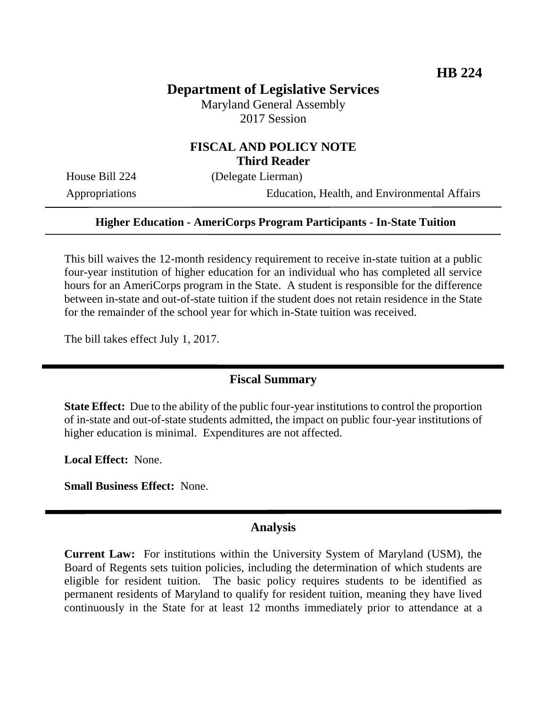## **Department of Legislative Services**

Maryland General Assembly 2017 Session

## **FISCAL AND POLICY NOTE Third Reader**

House Bill 224 (Delegate Lierman)

Appropriations Education, Health, and Environmental Affairs

### **Higher Education - AmeriCorps Program Participants - In-State Tuition**

This bill waives the 12-month residency requirement to receive in-state tuition at a public four-year institution of higher education for an individual who has completed all service hours for an AmeriCorps program in the State. A student is responsible for the difference between in-state and out-of-state tuition if the student does not retain residence in the State for the remainder of the school year for which in-State tuition was received.

The bill takes effect July 1, 2017.

### **Fiscal Summary**

**State Effect:** Due to the ability of the public four-year institutions to control the proportion of in-state and out-of-state students admitted, the impact on public four-year institutions of higher education is minimal. Expenditures are not affected.

**Local Effect:** None.

**Small Business Effect:** None.

#### **Analysis**

**Current Law:** For institutions within the University System of Maryland (USM), the Board of Regents sets tuition policies, including the determination of which students are eligible for resident tuition. The basic policy requires students to be identified as permanent residents of Maryland to qualify for resident tuition, meaning they have lived continuously in the State for at least 12 months immediately prior to attendance at a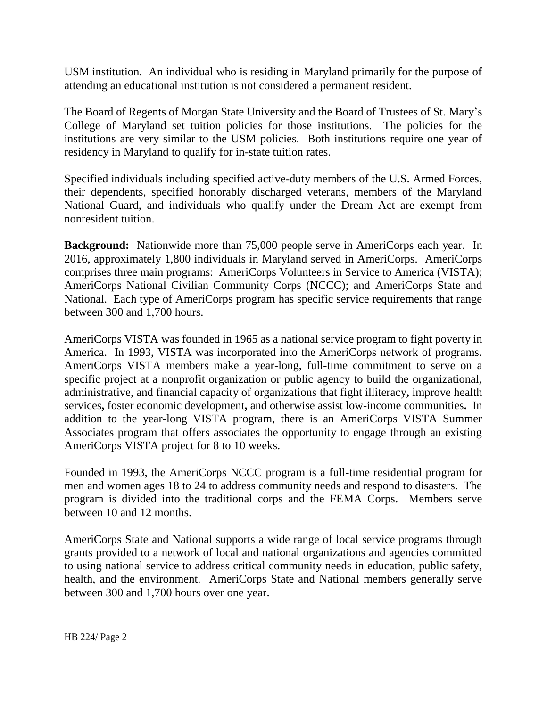USM institution. An individual who is residing in Maryland primarily for the purpose of attending an educational institution is not considered a permanent resident.

The Board of Regents of Morgan State University and the Board of Trustees of St. Mary's College of Maryland set tuition policies for those institutions. The policies for the institutions are very similar to the USM policies. Both institutions require one year of residency in Maryland to qualify for in-state tuition rates.

Specified individuals including specified active-duty members of the U.S. Armed Forces, their dependents, specified honorably discharged veterans, members of the Maryland National Guard, and individuals who qualify under the Dream Act are exempt from nonresident tuition.

**Background:** Nationwide more than 75,000 people serve in AmeriCorps each year. In 2016, approximately 1,800 individuals in Maryland served in AmeriCorps.AmeriCorps comprises three main programs: AmeriCorps Volunteers in Service to America (VISTA); AmeriCorps National Civilian Community Corps (NCCC); and AmeriCorps State and National. Each type of AmeriCorps program has specific service requirements that range between 300 and 1,700 hours.

AmeriCorps VISTA was founded in 1965 as a national service program to fight poverty in America. In 1993, VISTA was incorporated into the AmeriCorps network of programs. AmeriCorps VISTA members make a year-long, full-time commitment to serve on a specific project at a nonprofit organization or public agency to build the organizational, administrative, and financial capacity of organizations that fight illiteracy**,** improve health services**,** foster economic development**,** and otherwise assist low-income communities**.** In addition to the year-long VISTA program, there is an AmeriCorps VISTA Summer Associates program that offers associates the opportunity to engage through an existing AmeriCorps VISTA project for 8 to 10 weeks.

Founded in 1993, the AmeriCorps NCCC program is a full-time residential program for men and women ages 18 to 24 to address community needs and respond to disasters. The program is divided into the traditional corps and the FEMA Corps. Members serve between 10 and 12 months.

AmeriCorps State and National supports a wide range of local service programs through grants provided to a network of local and national organizations and agencies committed to using national service to address critical community needs in education, public safety, health, and the environment. AmeriCorps State and National members generally serve between 300 and 1,700 hours over one year.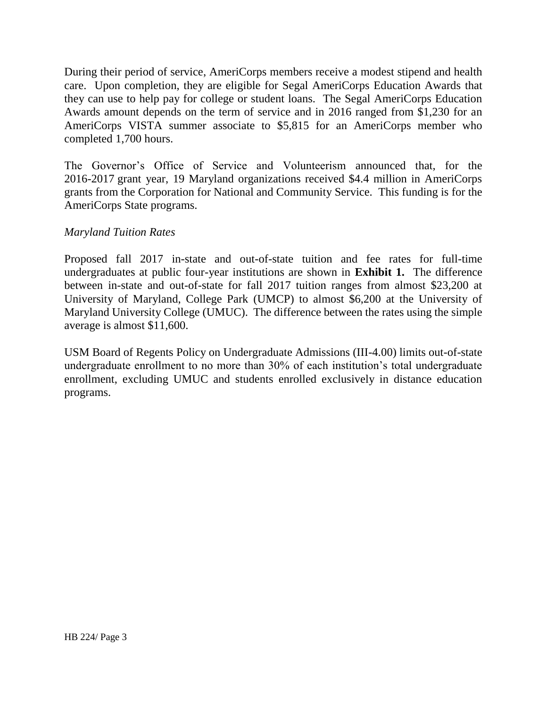During their period of service, AmeriCorps members receive a modest stipend and health care. Upon completion, they are eligible for Segal AmeriCorps Education Awards that they can use to help pay for college or student loans. The Segal AmeriCorps Education Awards amount depends on the term of service and in 2016 ranged from \$1,230 for an AmeriCorps VISTA summer associate to \$5,815 for an AmeriCorps member who completed 1,700 hours.

The Governor's Office of Service and Volunteerism announced that, for the 2016-2017 grant year, 19 Maryland organizations received \$4.4 million in AmeriCorps grants from the Corporation for National and Community Service. This funding is for the AmeriCorps State programs.

## *Maryland Tuition Rates*

Proposed fall 2017 in-state and out-of-state tuition and fee rates for full-time undergraduates at public four-year institutions are shown in **Exhibit 1.** The difference between in-state and out-of-state for fall 2017 tuition ranges from almost \$23,200 at University of Maryland, College Park (UMCP) to almost \$6,200 at the University of Maryland University College (UMUC). The difference between the rates using the simple average is almost \$11,600.

USM Board of Regents Policy on Undergraduate Admissions (III-4.00) limits out-of-state undergraduate enrollment to no more than 30% of each institution's total undergraduate enrollment, excluding UMUC and students enrolled exclusively in distance education programs.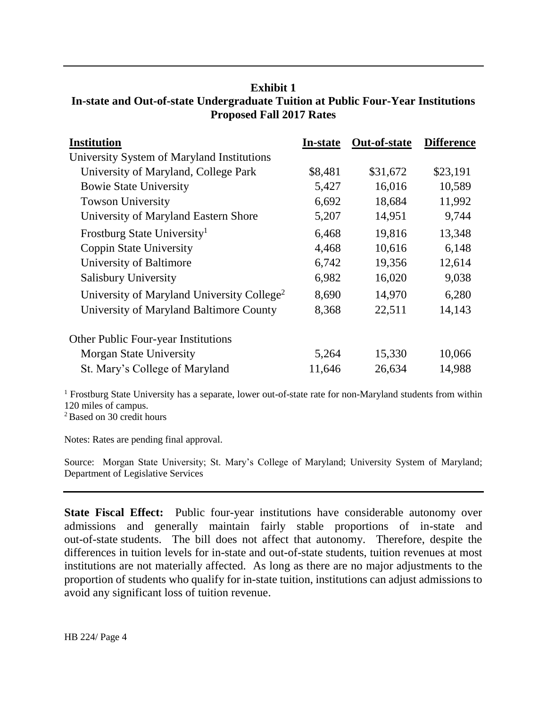## **Exhibit 1 In-state and Out-of-state Undergraduate Tuition at Public Four-Year Institutions Proposed Fall 2017 Rates**

| <b>Institution</b>                                     | <b>In-state</b> | Out-of-state | <b>Difference</b> |
|--------------------------------------------------------|-----------------|--------------|-------------------|
| University System of Maryland Institutions             |                 |              |                   |
| University of Maryland, College Park                   | \$8,481         | \$31,672     | \$23,191          |
| <b>Bowie State University</b>                          | 5,427           | 16,016       | 10,589            |
| <b>Towson University</b>                               | 6,692           | 18,684       | 11,992            |
| University of Maryland Eastern Shore                   | 5,207           | 14,951       | 9,744             |
| Frostburg State University <sup>1</sup>                | 6,468           | 19,816       | 13,348            |
| <b>Coppin State University</b>                         | 4,468           | 10,616       | 6,148             |
| University of Baltimore                                | 6,742           | 19,356       | 12,614            |
| Salisbury University                                   | 6,982           | 16,020       | 9,038             |
| University of Maryland University College <sup>2</sup> | 8,690           | 14,970       | 6,280             |
| University of Maryland Baltimore County                | 8,368           | 22,511       | 14,143            |
| <b>Other Public Four-year Institutions</b>             |                 |              |                   |
| <b>Morgan State University</b>                         | 5,264           | 15,330       | 10,066            |
| St. Mary's College of Maryland                         | 11,646          | 26,634       | 14,988            |

<sup>1</sup> Frostburg State University has a separate, lower out-of-state rate for non-Maryland students from within 120 miles of campus.

<sup>2</sup> Based on 30 credit hours

Notes: Rates are pending final approval.

Source: Morgan State University; St. Mary's College of Maryland; University System of Maryland; Department of Legislative Services

**State Fiscal Effect:** Public four-year institutions have considerable autonomy over admissions and generally maintain fairly stable proportions of in-state and out-of-state students. The bill does not affect that autonomy. Therefore, despite the differences in tuition levels for in-state and out-of-state students, tuition revenues at most institutions are not materially affected. As long as there are no major adjustments to the proportion of students who qualify for in-state tuition, institutions can adjust admissions to avoid any significant loss of tuition revenue.